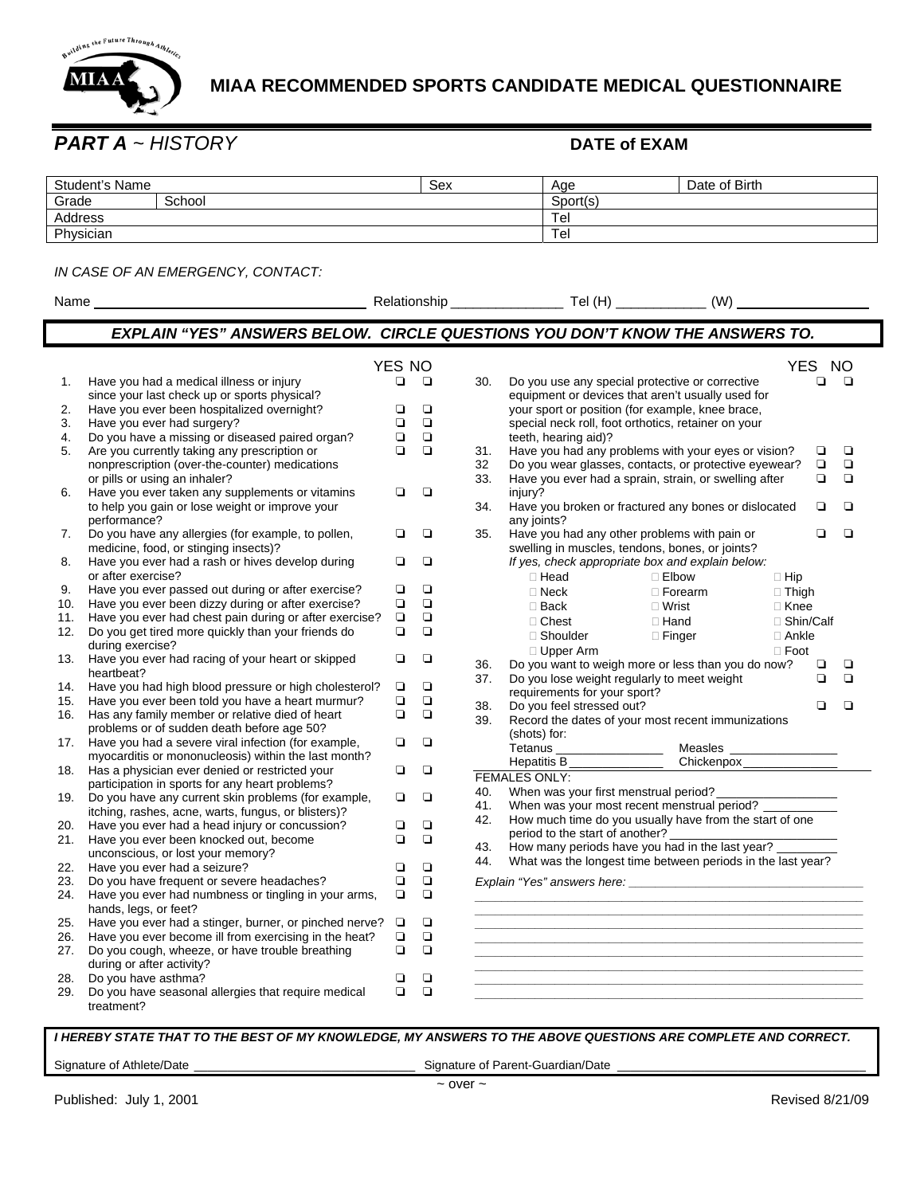

# **MIAA RECOMMENDED SPORTS CANDIDATE MEDICAL QUESTIONNAIRE**

Name Relationship \_\_\_\_\_\_\_\_\_\_\_\_\_\_\_ Tel (H) \_\_\_\_\_\_\_\_\_\_\_\_ (W) \_\_\_\_\_\_\_\_\_\_\_\_\_\_\_\_

## *PART A ~ HISTORY* **DATE of EXAM**

| Student's Name |        | Sex | Age      | Date of Birth |
|----------------|--------|-----|----------|---------------|
| Grade          | School |     | Sport(s) |               |
| Address        |        |     | Tel      |               |
| Physician      |        |     | Tel      |               |

### *IN CASE OF AN EMERGENCY, CONTACT:*

| Name |  |
|------|--|
|      |  |

|            |                                                                                 |        |             |     | EXPLAIN "YES" ANSWERS BELOW. CIRCLE QUESTIONS YOU DON'T KNOW THE ANSWERS TO. |           |
|------------|---------------------------------------------------------------------------------|--------|-------------|-----|------------------------------------------------------------------------------|-----------|
|            |                                                                                 |        |             |     |                                                                              |           |
|            |                                                                                 | YES NO |             |     | <b>YES</b>                                                                   | <b>NO</b> |
| 1.         | Have you had a medical illness or injury                                        | $\Box$ | $\Box$      | 30. | Do you use any special protective or corrective<br>❏                         | $\Box$    |
|            | since your last check up or sports physical?                                    |        |             |     | equipment or devices that aren't usually used for                            |           |
| 2.         | Have you ever been hospitalized overnight?                                      | ❏      | $\Box$      |     | your sport or position (for example, knee brace,                             |           |
| 3.         | Have you ever had surgery?                                                      | ◘      | $\Box$      |     | special neck roll, foot orthotics, retainer on your                          |           |
| 4.         | Do you have a missing or diseased paired organ?                                 | $\Box$ | $\Box$      |     | teeth, hearing aid)?                                                         |           |
| 5.         | Are you currently taking any prescription or                                    | $\Box$ | $\Box$      | 31. | $\Box$<br>Have you had any problems with your eyes or vision?                | $\Box$    |
|            | nonprescription (over-the-counter) medications                                  |        |             | 32  | $\Box$<br>Do you wear glasses, contacts, or protective eyewear?              | $\Box$    |
|            | or pills or using an inhaler?                                                   |        |             | 33. | Have you ever had a sprain, strain, or swelling after<br>$\Box$              | $\Box$    |
| 6.         | Have you ever taken any supplements or vitamins                                 | ❏      | $\Box$      |     | injury?                                                                      |           |
|            | to help you gain or lose weight or improve your                                 |        |             | 34. | Have you broken or fractured any bones or dislocated<br>❏                    | ◘         |
|            | performance?                                                                    |        |             |     | any joints?                                                                  |           |
| 7.         | Do you have any allergies (for example, to pollen,                              | ▫      | ❏           | 35. | Have you had any other problems with pain or<br>$\Box$                       | ◘         |
|            | medicine, food, or stinging insects)?                                           |        |             |     | swelling in muscles, tendons, bones, or joints?                              |           |
| 8.         | Have you ever had a rash or hives develop during                                | ◘      | $\Box$      |     | If yes, check appropriate box and explain below:                             |           |
|            | or after exercise?                                                              |        |             |     | □ Head<br>□ Elbow<br>$\Box$ Hip                                              |           |
| 9.         | Have you ever passed out during or after exercise?                              | ◘      | $\Box$      |     | $\square$ Neck<br>$\Box$ Forearm<br>$\Box$ Thigh                             |           |
| 10.        | Have you ever been dizzy during or after exercise?                              | $\Box$ | $\Box$      |     | $\square$ Back<br>$\Box$ Wrist<br>$\Box$ Knee                                |           |
| 11.        | Have you ever had chest pain during or after exercise?                          | $\Box$ | $\Box$      |     | □ Chest<br>$\Box$ Hand<br>□ Shin/Calf                                        |           |
| 12.        | Do you get tired more quickly than your friends do                              | $\Box$ | $\Box$      |     | □ Shoulder<br>□ Finger<br>□ Ankle                                            |           |
|            | during exercise?                                                                |        |             |     | $\Box$ Foot<br>$\Box$ Upper Arm                                              |           |
| 13.        | Have you ever had racing of your heart or skipped                               | ❏      | ◘           | 36. | Do you want to weigh more or less than you do now?<br>▫                      | ◘         |
|            | heartbeat?                                                                      |        |             | 37. | Do you lose weight regularly to meet weight<br>◘                             | ◘         |
| 14.        | Have you had high blood pressure or high cholesterol?                           | $\Box$ | $\Box$      |     | requirements for your sport?                                                 |           |
| 15.        | Have you ever been told you have a heart murmur?                                | $\Box$ | $\Box$      | 38. | Do you feel stressed out?<br>$\Box$                                          | ◘         |
| 16.        | Has any family member or relative died of heart                                 | $\Box$ | $\Box$      | 39. | Record the dates of your most recent immunizations                           |           |
|            | problems or of sudden death before age 50?                                      |        |             |     | (shots) for:                                                                 |           |
| 17.        | Have you had a severe viral infection (for example,                             | ◘      | $\Box$      |     | Tetanus __________________<br><b>Measles Measure</b>                         |           |
|            | myocarditis or mononucleosis) within the last month?                            |        |             |     | Chickenpox______________<br>Hepatitis B <sub>______________</sub> ______     |           |
| 18.        | Has a physician ever denied or restricted your                                  | ◘      | ▫           |     | <b>FEMALES ONLY:</b>                                                         |           |
|            | participation in sports for any heart problems?                                 |        |             | 40. | When was your first menstrual period?                                        |           |
| 19.        | Do you have any current skin problems (for example,                             | ◘      | $\Box$      | 41. | When was your most recent menstrual period?                                  |           |
|            | itching, rashes, acne, warts, fungus, or blisters)?                             |        |             | 42. | How much time do you usually have from the start of one                      |           |
| 20.<br>21. | Have you ever had a head injury or concussion?                                  | ❏<br>◘ | ▫<br>$\Box$ |     | period to the start of another?                                              |           |
|            | Have you ever been knocked out, become                                          |        |             | 43. | How many periods have you had in the last year?                              |           |
|            | unconscious, or lost your memory?                                               | $\Box$ | $\Box$      | 44. | What was the longest time between periods in the last year?                  |           |
| 22.<br>23. | Have you ever had a seizure?                                                    | $\Box$ | $\Box$      |     |                                                                              |           |
|            | Do you have frequent or severe headaches?                                       | ❏      | $\Box$      |     |                                                                              |           |
| 24.        | Have you ever had numbness or tingling in your arms,                            |        |             |     |                                                                              |           |
| 25.        | hands, legs, or feet?<br>Have you ever had a stinger, burner, or pinched nerve? | $\Box$ | $\Box$      |     |                                                                              |           |
| 26.        | Have you ever become ill from exercising in the heat?                           | $\Box$ | $\Box$      |     |                                                                              |           |
| 27.        | Do you cough, wheeze, or have trouble breathing                                 | ◘      | $\Box$      |     |                                                                              |           |
|            | during or after activity?                                                       |        |             |     |                                                                              |           |
| 28.        | Do you have asthma?                                                             | ❏      | ◘           |     |                                                                              |           |
| 29.        | Do you have seasonal allergies that require medical                             | $\Box$ | $\Box$      |     |                                                                              |           |
|            | treatment?                                                                      |        |             |     |                                                                              |           |

### *I HEREBY STATE THAT TO THE BEST OF MY KNOWLEDGE, MY ANSWERS TO THE ABOVE QUESTIONS ARE COMPLETE AND CORRECT.*

Signature of Athlete/Date \_\_\_\_\_\_\_\_\_\_\_\_\_\_\_\_\_\_\_\_\_\_\_\_\_\_\_\_\_\_\_\_\_ Signature of Parent-Guardian/Date \_\_\_\_\_\_\_\_\_\_\_\_\_\_\_\_\_\_\_\_\_\_\_\_\_\_\_\_\_\_\_\_\_\_\_\_\_